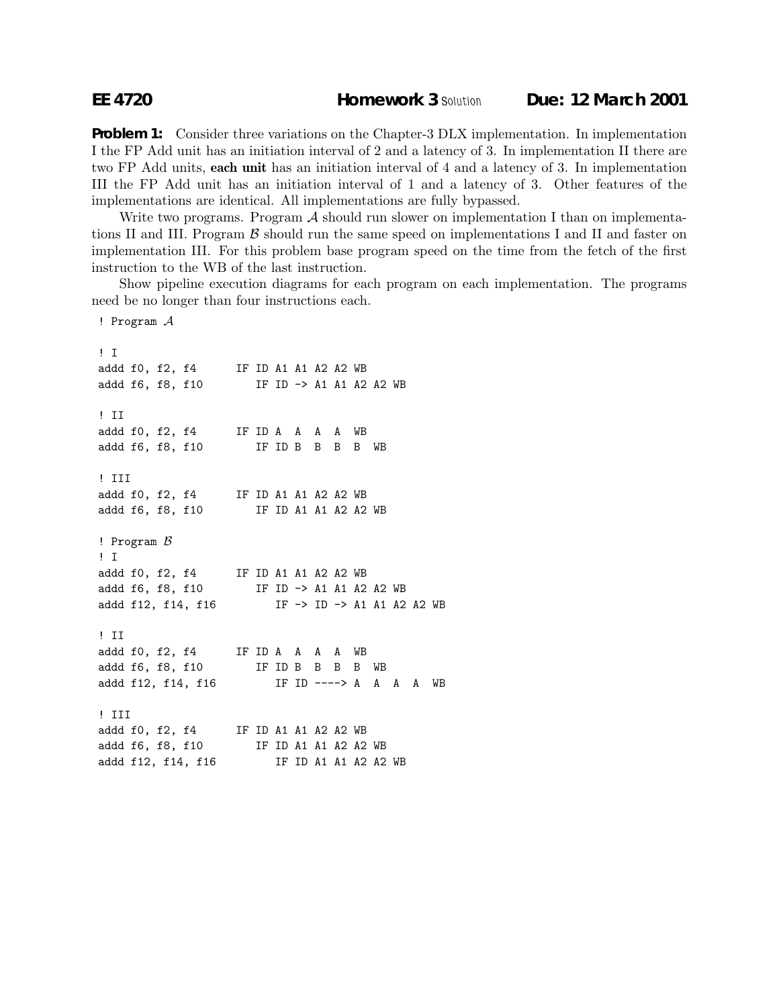## **EE 4720 Homework 3** *Solution* **Due: 12 March 2001**

**Problem 1:** Consider three variations on the Chapter-3 DLX implementation. In implementation I the FP Add unit has an initiation interval of 2 and a latency of 3. In implementation II there are two FP Add units, **each unit** has an initiation interval of 4 and a latency of 3. In implementation III the FP Add unit has an initiation interval of 1 and a latency of 3. Other features of the implementations are identical. All implementations are fully bypassed.

Write two programs. Program  $\mathcal A$  should run slower on implementation I than on implementations II and III. Program  $\beta$  should run the same speed on implementations I and II and faster on implementation III. For this problem base program speed on the time from the fetch of the first instruction to the WB of the last instruction.

Show pipeline execution diagrams for each program on each implementation. The programs need be no longer than four instructions each.

! Program A ! I addd f0, f2, f4 IF ID A1 A1 A2 A2 WB addd f6, f8, f10 IF ID -> A1 A1 A2 A2 WB ! II addd f0, f2, f4 IF ID A A A A WB addd f6, f8, f10 IF ID B B B B WB ! III addd f0, f2, f4 IF ID A1 A1 A2 A2 WB addd f6, f8, f10 IF ID A1 A1 A2 A2 WB ! Program  $\beta$ ! I addd f0, f2, f4 IF ID A1 A1 A2 A2 WB addd f6, f8, f10 IF ID -> A1 A1 A2 A2 WB addd f12, f14, f16 IF -> ID -> A1 A1 A2 A2 WB ! II addd f0, f2, f4 IF ID A A A A WB addd f6, f8, f10 IF ID B B B B WB addd f12, f14, f16 IF ID ----> A A A A WB ! III addd f0, f2, f4 IF ID A1 A1 A2 A2 WB addd f6, f8, f10 IF ID A1 A1 A2 A2 WB addd f12, f14, f16 IF ID A1 A1 A2 A2 WB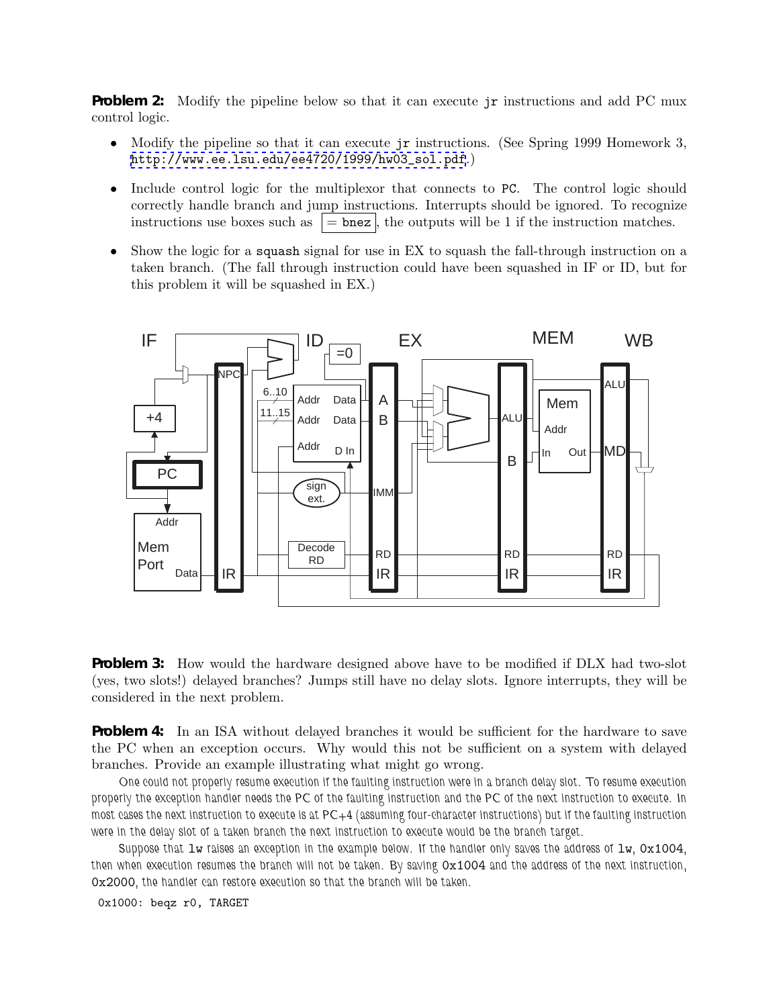**Problem 2:** Modify the pipeline below so that it can execute jr instructions and add PC mux control logic.

- Modify the pipeline so that it can execute jr instructions. (See Spring 1999 Homework 3, [http://www.ee.lsu.edu/ee4720/1999/hw03\\_sol.pdf](http://www.ee.lsu.edu/ee4720/1999/hw03_sol.pdf).)
- Include control logic for the multiplexor that connects to PC. The control logic should correctly handle branch and jump instructions. Interrupts should be ignored. To recognize instructions use boxes such as  $\vert = \text{bnez} \vert$ , the outputs will be 1 if the instruction matches.
- Show the logic for a squash signal for use in EX to squash the fall-through instruction on a taken branch. (The fall through instruction could have been squashed in IF or ID, but for this problem it will be squashed in EX.)



**Problem 3:** How would the hardware designed above have to be modified if DLX had two-slot (yes, two slots!) delayed branches? Jumps still have no delay slots. Ignore interrupts, they will be considered in the next problem.

**Problem 4:** In an ISA without delayed branches it would be sufficient for the hardware to save the PC when an exception occurs. Why would this not be sufficient on a system with delayed branches. Provide an example illustrating what might go wrong.

*One could not properly resume execution if the faulting instruction were in a branch delay slot. To resume execution properly the exception handler needs the PC of the faulting instruction and the PC of the next instruction to execute. In most cases the next instruction to execute is at PC+4 (assuming four-character instructions) but if the faulting instruction were in the delay slot of a taken branch the next instruction to execute would be the branch target.*

*Suppose that* lw *raises an exception in the example below. If the handler only saves the address of* lw*,* 0x1004*, then when execution resumes the branch will not be taken. By saving* 0x1004 *and the address of the next instruction,* 0x2000*, the handler can restore execution so that the branch will be taken.*

0x1000: beqz r0, TARGET